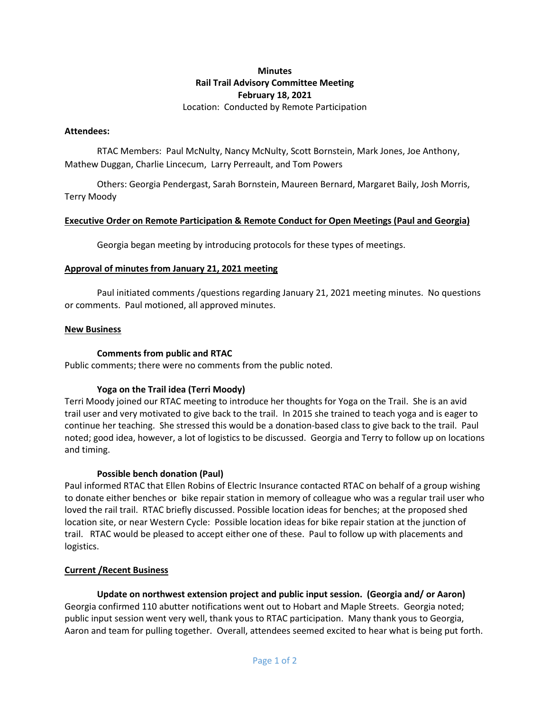# **Minutes Rail Trail Advisory Committee Meeting February 18, 2021**

Location: Conducted by Remote Participation

## **Attendees:**

RTAC Members: Paul McNulty, Nancy McNulty, Scott Bornstein, Mark Jones, Joe Anthony, Mathew Duggan, Charlie Lincecum, Larry Perreault, and Tom Powers

Others: Georgia Pendergast, Sarah Bornstein, Maureen Bernard, Margaret Baily, Josh Morris, Terry Moody

# **Executive Order on Remote Participation & Remote Conduct for Open Meetings (Paul and Georgia)**

Georgia began meeting by introducing protocols for these types of meetings.

### **Approval of minutes from January 21, 2021 meeting**

Paul initiated comments /questions regarding January 21, 2021 meeting minutes. No questions or comments. Paul motioned, all approved minutes.

#### **New Business**

## **Comments from public and RTAC**

Public comments; there were no comments from the public noted.

# **Yoga on the Trail idea (Terri Moody)**

Terri Moody joined our RTAC meeting to introduce her thoughts for Yoga on the Trail. She is an avid trail user and very motivated to give back to the trail. In 2015 she trained to teach yoga and is eager to continue her teaching. She stressed this would be a donation-based class to give back to the trail. Paul noted; good idea, however, a lot of logistics to be discussed. Georgia and Terry to follow up on locations and timing.

### **Possible bench donation (Paul)**

Paul informed RTAC that Ellen Robins of Electric Insurance contacted RTAC on behalf of a group wishing to donate either benches or bike repair station in memory of colleague who was a regular trail user who loved the rail trail. RTAC briefly discussed. Possible location ideas for benches; at the proposed shed location site, or near Western Cycle: Possible location ideas for bike repair station at the junction of trail. RTAC would be pleased to accept either one of these. Paul to follow up with placements and logistics.

### **Current /Recent Business**

**Update on northwest extension project and public input session. (Georgia and/ or Aaron)** Georgia confirmed 110 abutter notifications went out to Hobart and Maple Streets. Georgia noted; public input session went very well, thank yous to RTAC participation. Many thank yous to Georgia, Aaron and team for pulling together. Overall, attendees seemed excited to hear what is being put forth.